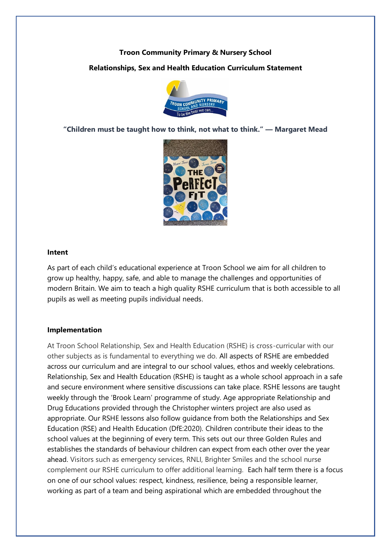# **Troon Community Primary & Nursery School**

## **Relationships, Sex and Health Education Curriculum Statement**



**"Children must be taught how to think, not what to think." ― Margaret Mead**



#### **Intent**

As part of each child's educational experience at Troon School we aim for all children to grow up healthy, happy, safe, and able to manage the challenges and opportunities of modern Britain. We aim to teach a high quality RSHE curriculum that is both accessible to all pupils as well as meeting pupils individual needs.

### **Implementation**

At Troon School Relationship, Sex and Health Education (RSHE) is cross-curricular with our other subjects as is fundamental to everything we do. All aspects of RSHE are embedded across our curriculum and are integral to our school values, ethos and weekly celebrations. Relationship, Sex and Health Education (RSHE) is taught as a whole school approach in a safe and secure environment where sensitive discussions can take place. RSHE lessons are taught weekly through the 'Brook Learn' programme of study. Age appropriate Relationship and Drug Educations provided through the Christopher winters project are also used as appropriate. Our RSHE lessons also follow guidance from both the Relationships and Sex Education (RSE) and Health Education (DfE:2020). Children contribute their ideas to the school values at the beginning of every term. This sets out our three Golden Rules and establishes the standards of behaviour children can expect from each other over the year ahead. Visitors such as emergency services, RNLI, Brighter Smiles and the school nurse complement our RSHE curriculum to offer additional learning. Each half term there is a focus on one of our school values: respect, kindness, resilience, being a responsible learner, working as part of a team and being aspirational which are embedded throughout the